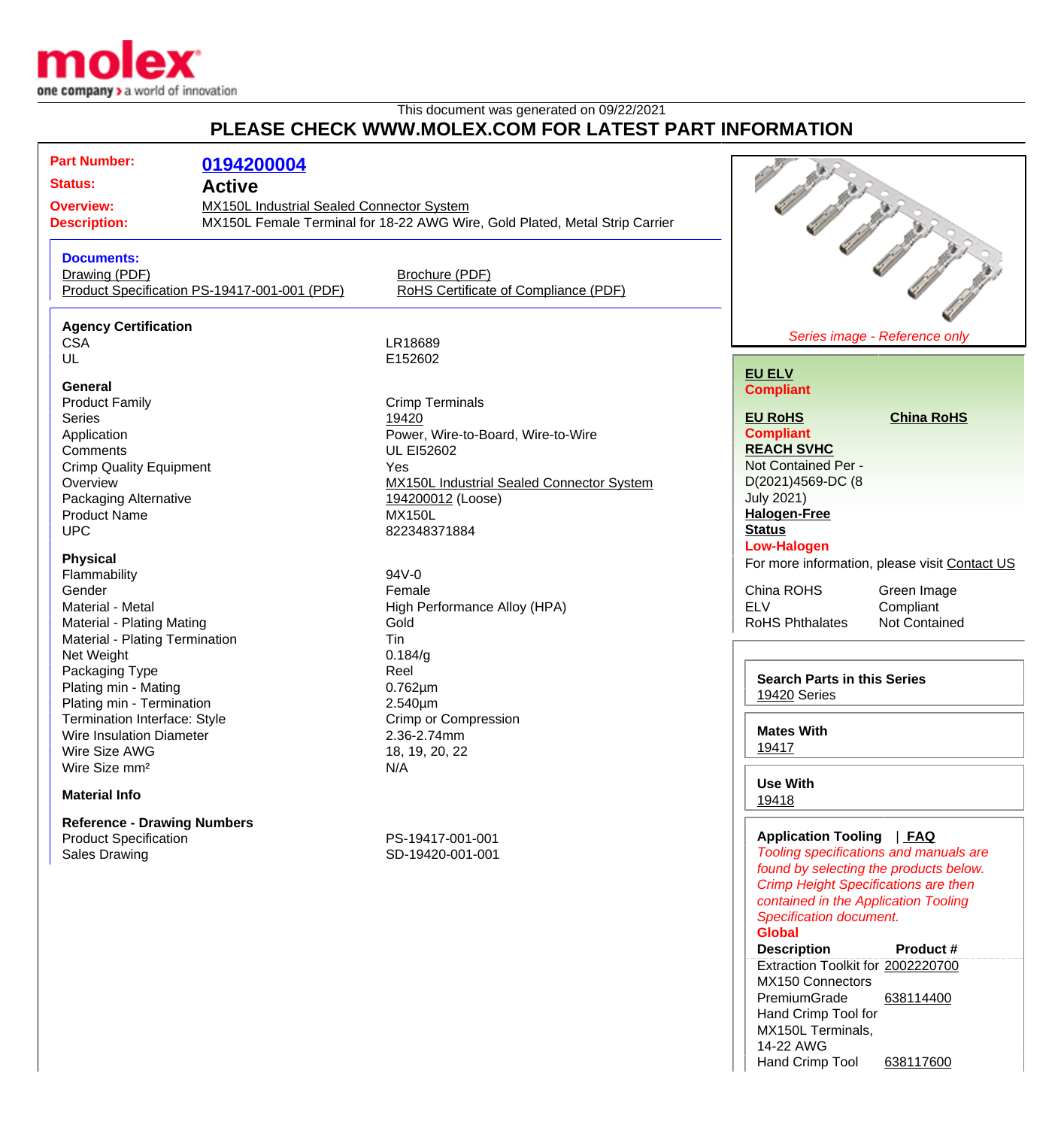

## This document was generated on 09/22/2021 **PLEASE CHECK WWW.MOLEX.COM FOR LATEST PART INFORMATION**

| <b>Part Number:</b><br>0194200004<br><b>Status:</b><br><b>Active</b><br>MX150L Industrial Sealed Connector System<br><b>Overview:</b>        |                                                                                                                                                                                                                                                         |
|----------------------------------------------------------------------------------------------------------------------------------------------|---------------------------------------------------------------------------------------------------------------------------------------------------------------------------------------------------------------------------------------------------------|
| MX150L Female Terminal for 18-22 AWG Wire, Gold Plated, Metal Strip Carrier<br><b>Description:</b>                                           |                                                                                                                                                                                                                                                         |
| <b>Documents:</b><br>Drawing (PDF)<br>Brochure (PDF)<br>Product Specification PS-19417-001-001 (PDF)<br>RoHS Certificate of Compliance (PDF) |                                                                                                                                                                                                                                                         |
| <b>Agency Certification</b>                                                                                                                  |                                                                                                                                                                                                                                                         |
| LR18689<br><b>CSA</b>                                                                                                                        | Series image - Reference only                                                                                                                                                                                                                           |
| UL<br>E152602<br><b>General</b>                                                                                                              | <b>EU ELV</b><br><b>Compliant</b>                                                                                                                                                                                                                       |
| <b>Crimp Terminals</b><br><b>Product Family</b><br><b>Series</b><br>19420                                                                    | <b>EU RoHS</b><br><b>China RoHS</b>                                                                                                                                                                                                                     |
| Application<br>Power, Wire-to-Board, Wire-to-Wire                                                                                            | <b>Compliant</b>                                                                                                                                                                                                                                        |
| Comments<br><b>UL EI52602</b>                                                                                                                | <b>REACH SVHC</b>                                                                                                                                                                                                                                       |
| <b>Crimp Quality Equipment</b><br>Yes                                                                                                        | Not Contained Per -                                                                                                                                                                                                                                     |
| Overview<br><b>MX150L Industrial Sealed Connector System</b>                                                                                 | D(2021)4569-DC (8                                                                                                                                                                                                                                       |
| Packaging Alternative<br>194200012 (Loose)                                                                                                   | <b>July 2021)</b>                                                                                                                                                                                                                                       |
| <b>Product Name</b><br><b>MX150L</b>                                                                                                         | <b>Halogen-Free</b>                                                                                                                                                                                                                                     |
| <b>UPC</b><br>822348371884                                                                                                                   | <b>Status</b>                                                                                                                                                                                                                                           |
| <b>Physical</b>                                                                                                                              | <b>Low-Halogen</b>                                                                                                                                                                                                                                      |
| Flammability<br>94V-0                                                                                                                        | For more information, please visit Contact US                                                                                                                                                                                                           |
| Gender<br>Female                                                                                                                             | China ROHS<br>Green Image                                                                                                                                                                                                                               |
| Material - Metal<br>High Performance Alloy (HPA)                                                                                             | <b>ELV</b><br>Compliant                                                                                                                                                                                                                                 |
| <b>Material - Plating Mating</b><br>Gold                                                                                                     | <b>RoHS Phthalates</b><br><b>Not Contained</b>                                                                                                                                                                                                          |
| Material - Plating Termination<br>Tin                                                                                                        |                                                                                                                                                                                                                                                         |
| Net Weight<br>0.184/g                                                                                                                        |                                                                                                                                                                                                                                                         |
| Packaging Type<br>Reel                                                                                                                       | <b>Search Parts in this Series</b>                                                                                                                                                                                                                      |
| Plating min - Mating<br>$0.762 \mu m$                                                                                                        | 19420 Series                                                                                                                                                                                                                                            |
| Plating min - Termination<br>$2.540 \mu m$                                                                                                   |                                                                                                                                                                                                                                                         |
| Crimp or Compression<br><b>Termination Interface: Style</b>                                                                                  |                                                                                                                                                                                                                                                         |
| <b>Wire Insulation Diameter</b><br>2.36-2.74mm                                                                                               | <b>Mates With</b>                                                                                                                                                                                                                                       |
| 18, 19, 20, 22<br>Wire Size AWG                                                                                                              | 19417                                                                                                                                                                                                                                                   |
| Wire Size mm <sup>2</sup><br>N/A                                                                                                             |                                                                                                                                                                                                                                                         |
| <b>Material Info</b>                                                                                                                         | <b>Use With</b><br>19418                                                                                                                                                                                                                                |
| <b>Reference - Drawing Numbers</b>                                                                                                           |                                                                                                                                                                                                                                                         |
| <b>Product Specification</b><br>PS-19417-001-001<br><b>Sales Drawing</b><br>SD-19420-001-001                                                 | Application Tooling   FAQ<br>Tooling specifications and manuals are<br>found by selecting the products below.<br><b>Crimp Height Specifications are then</b><br>contained in the Application Tooling<br><b>Specification document.</b><br><b>Global</b> |

## **Description Product #**

Extraction Toolkit for [2002220700](http://www.molex.com/molex/products/datasheet.jsp?part=active/2002220700_APPLICATION_TOOLIN.xml) MX150 Connectors PremiumGrade Hand Crimp Tool for MX150L Terminals, 14-22 AWG [638114400](http://www.molex.com/molex/products/datasheet.jsp?part=active/0638114400_APPLICATION_TOOLIN.xml) Hand Crimp Tool [638117600](http://www.molex.com/molex/products/datasheet.jsp?part=active/0638117600_APPLICATION_TOOLIN.xml)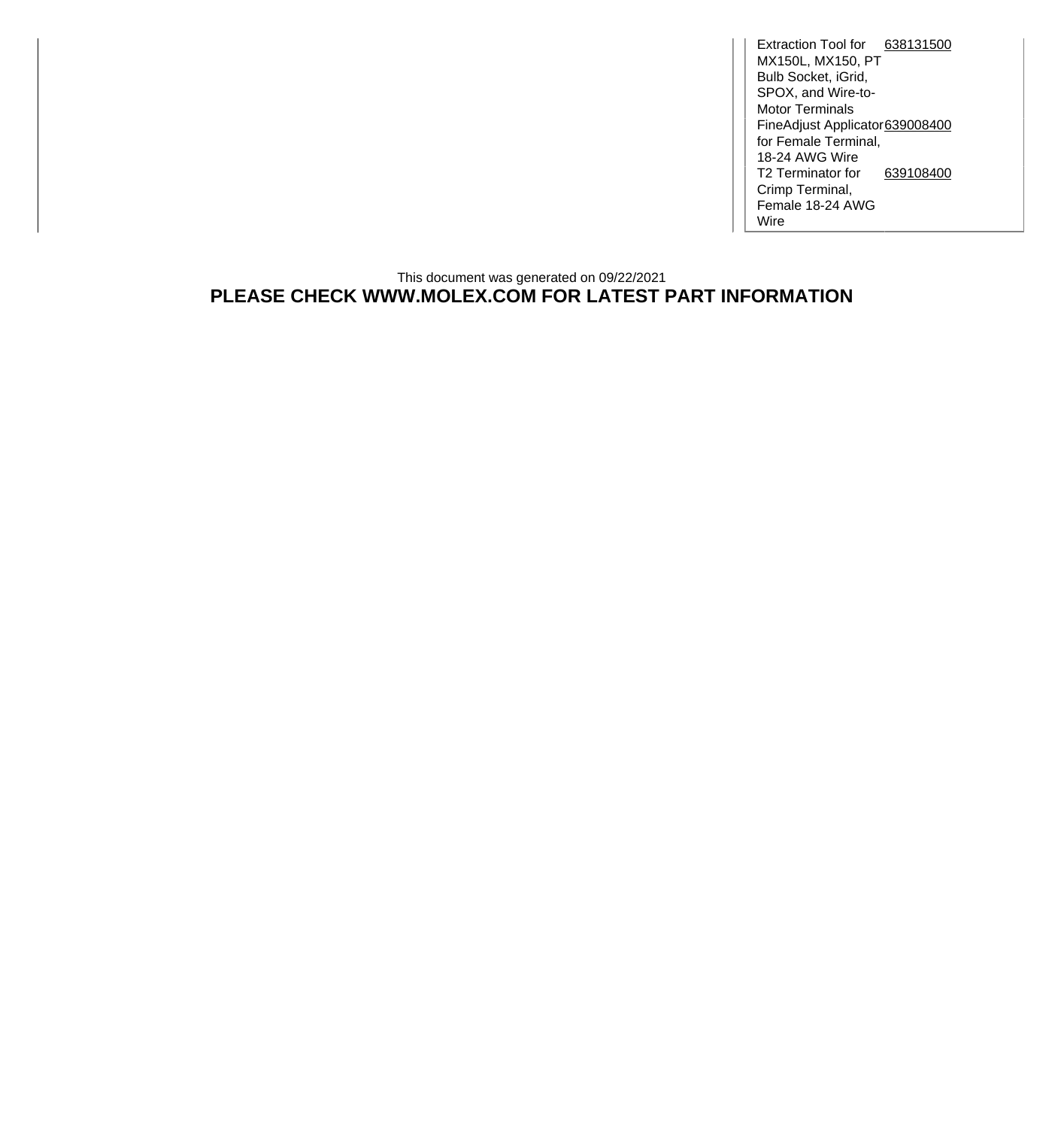Extraction Tool for [638131500](http://www.molex.com/molex/products/datasheet.jsp?part=active/0638131500_APPLICATION_TOOLIN.xml) MX150L, MX150, PT Bulb Socket, iGrid, SPOX, and Wire-to-Motor Terminals FineAdjust Applicator for Female Terminal, 18-24 AWG Wire [639008400](http://www.molex.com/molex/products/datasheet.jsp?part=active/0639008400_APPLICATION_TOOLIN.xml) T2 Terminator for [639108400](http://www.molex.com/molex/products/datasheet.jsp?part=active/0639108400_APPLICATION_TOOLIN.xml) Crimp Terminal, Female 18-24 AWG Wire

## This document was generated on 09/22/2021 **PLEASE CHECK WWW.MOLEX.COM FOR LATEST PART INFORMATION**